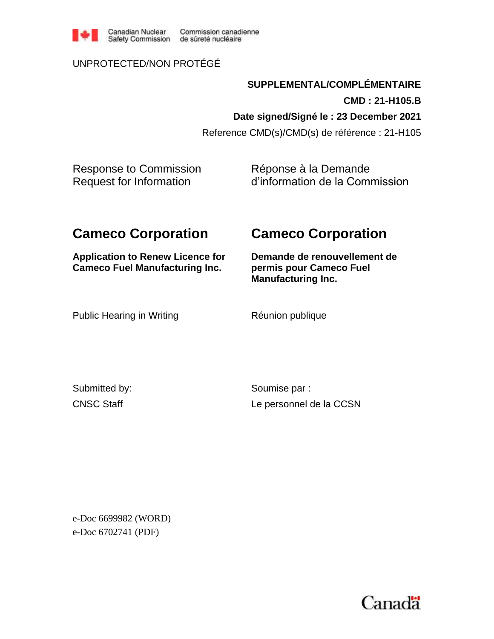

Commission canadienne

### UNPROTECTED/NON PROTÉGÉ

**SUPPLEMENTAL/COMPLÉMENTAIRE CMD : 21-H105.B Date signed/Signé le : 23 December 2021** Reference CMD(s)/CMD(s) de référence : 21-H105

Response to Commission Request for Information

Réponse à la Demande d'information de la Commission

# **Cameco Corporation**

# **Cameco Corporation**

**Application to Renew Licence for Cameco Fuel Manufacturing Inc.**

**Demande de renouvellement de permis pour Cameco Fuel Manufacturing Inc.**

Public Hearing in Writing The Réunion publique

Submitted by: CNSC Staff

Soumise par : Le personnel de la CCSN

e-Doc 6699982 (WORD) e-Doc 6702741 (PDF)

Canadä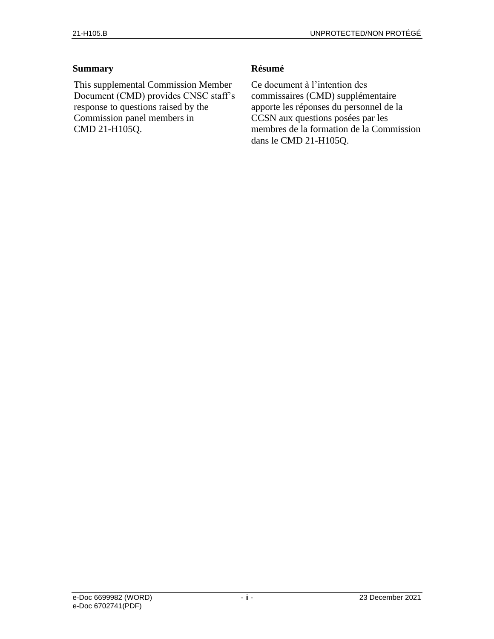#### **Summary**

This supplemental Commission Member Document (CMD) provides CNSC staff's response to questions raised by the Commission panel members in CMD 21-H105Q.

#### **Résumé**

Ce document à l'intention des commissaires (CMD) supplémentaire apporte les réponses du personnel de la CCSN aux questions posées par les membres de la formation de la Commission dans le CMD 21-H105Q.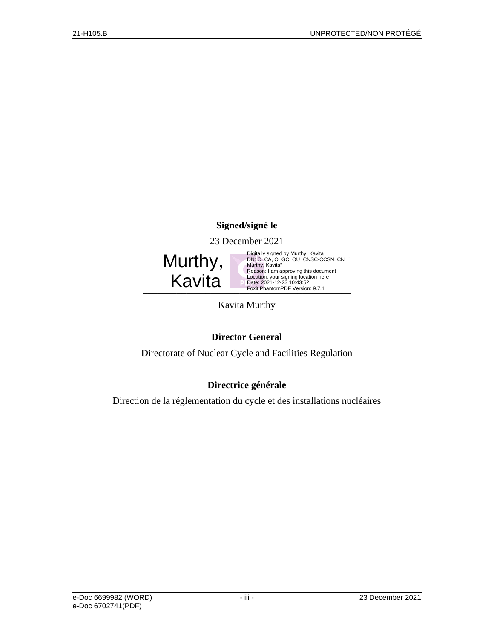### **Signed/signé le**

23 December 2021

Murthy, Kavita

Foxit PhantomPDF Version: 9.7.1 Digitally signed by Murthy, Kavita<br>DN: C=CA, O=GC, OU=CNSC-CCSN, CN="<br>Murthy, Kavita"<br>Reason: I am approving this document<br>Location: your signing location here<br>Date: 2021-12-23 10:43:52<br>Foxit PhantomPDF Version: 9.7.1

Kavita Murthy

### **Director General**

Directorate of Nuclear Cycle and Facilities Regulation

### **Directrice générale**

Direction de la réglementation du cycle et des installations nucléaires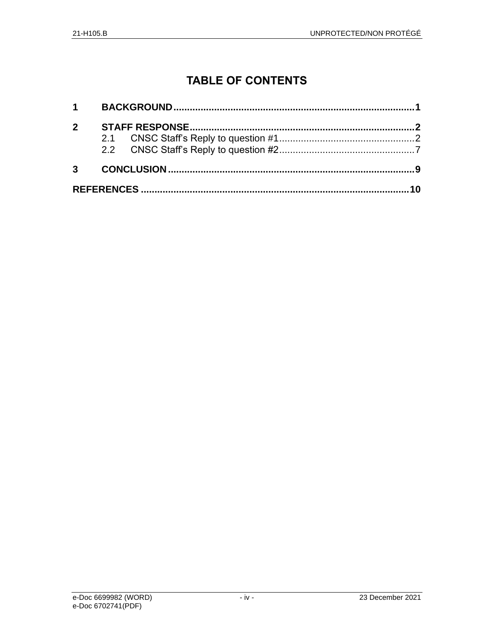# **TABLE OF CONTENTS**

| 2 <sup>1</sup> |  |  |
|----------------|--|--|
|                |  |  |
|                |  |  |
| $3^{\circ}$    |  |  |
|                |  |  |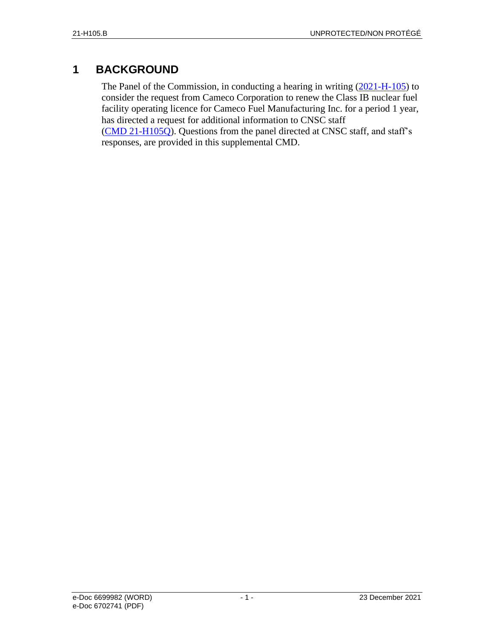## <span id="page-4-0"></span>**1 BACKGROUND**

The Panel of the Commission, in conducting a hearing in writing [\(2021-H-105\)](https://www.cnsc-ccsn.gc.ca/eng/the-commission/pdf/Notice-CamecoCorporation-FuelManufacturing-e.pdf) to consider the request from Cameco Corporation to renew the Class IB nuclear fuel facility operating licence for Cameco Fuel Manufacturing Inc. for a period 1 year, has directed a request for additional information to CNSC staff [\(CMD 21-H105Q\)](https://www.nuclearsafety.gc.ca/eng/the-commission/hearings/cmd/pdf/CMD21/CMD21-H105Q.pdf). Questions from the panel directed at CNSC staff, and staff's responses, are provided in this supplemental CMD.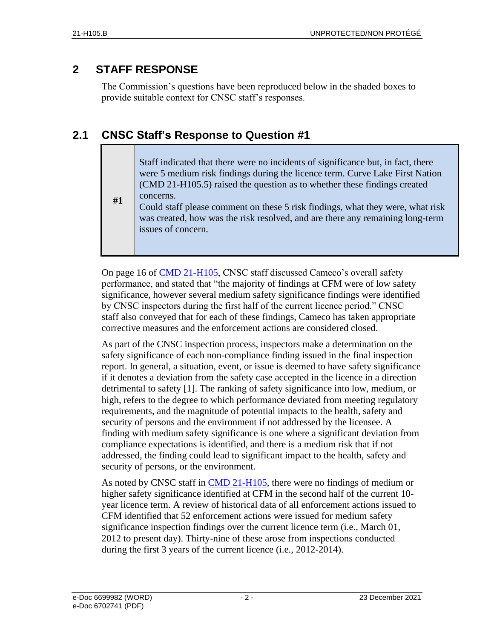## <span id="page-5-0"></span>**2 STAFF RESPONSE**

The Commission's questions have been reproduced below in the shaded boxes to provide suitable context for CNSC staff's responses.

## <span id="page-5-1"></span>**2.1 CNSC Staff's Response to Question #1**

Staff indicated that there were no incidents of significance but, in fact, there were 5 medium risk findings during the licence term. Curve Lake First Nation (CMD 21-H105.5) raised the question as to whether these findings created concerns.

**#1** Could staff please comment on these 5 risk findings, what they were, what risk was created, how was the risk resolved, and are there any remaining long-term issues of concern.

On page 16 of [CMD 21-H105,](https://www.nuclearsafety.gc.ca/eng/the-commission/hearings/cmd/pdf/CMD21/CMD21-H105.pdf) CNSC staff discussed Cameco's overall safety performance, and stated that "the majority of findings at CFM were of low safety significance, however several medium safety significance findings were identified by CNSC inspectors during the first half of the current licence period." CNSC staff also conveyed that for each of these findings, Cameco has taken appropriate corrective measures and the enforcement actions are considered closed.

As part of the CNSC inspection process, inspectors make a determination on the safety significance of each non-compliance finding issued in the final inspection report. In general, a situation, event, or issue is deemed to have safety significance if it denotes a deviation from the safety case accepted in the licence in a direction detrimental to safety [1]. The ranking of safety significance into low, medium, or high, refers to the degree to which performance deviated from meeting regulatory requirements, and the magnitude of potential impacts to the health, safety and security of persons and the environment if not addressed by the licensee. A finding with medium safety significance is one where a significant deviation from compliance expectations is identified, and there is a medium risk that if not addressed, the finding could lead to significant impact to the health, safety and security of persons, or the environment.

As noted by CNSC staff in [CMD 21-H105,](https://www.nuclearsafety.gc.ca/eng/the-commission/hearings/cmd/pdf/CMD21/CMD21-H105.pdf) there were no findings of medium or higher safety significance identified at CFM in the second half of the current 10 year licence term. A review of historical data of all enforcement actions issued to CFM identified that 52 enforcement actions were issued for medium safety significance inspection findings over the current licence term (i.e., March 01, 2012 to present day). Thirty-nine of these arose from inspections conducted during the first 3 years of the current licence (i.e., 2012-2014).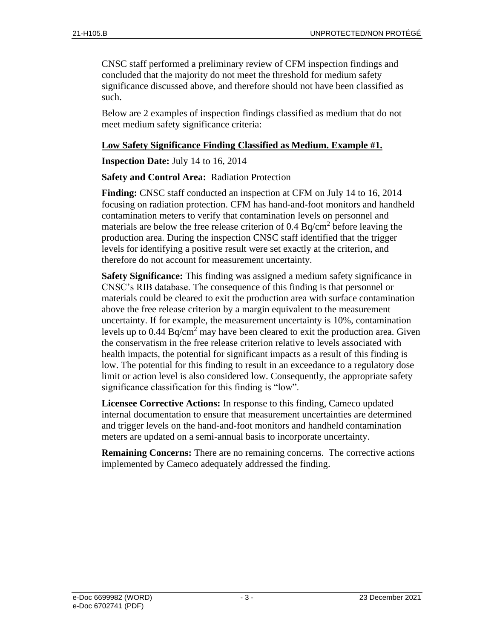CNSC staff performed a preliminary review of CFM inspection findings and concluded that the majority do not meet the threshold for medium safety significance discussed above, and therefore should not have been classified as such.

Below are 2 examples of inspection findings classified as medium that do not meet medium safety significance criteria:

#### **Low Safety Significance Finding Classified as Medium. Example #1.**

**Inspection Date:** July 14 to 16, 2014

#### **Safety and Control Area:** Radiation Protection

**Finding:** CNSC staff conducted an inspection at CFM on July 14 to 16, 2014 focusing on radiation protection. CFM has hand-and-foot monitors and handheld contamination meters to verify that contamination levels on personnel and materials are below the free release criterion of  $0.4 \text{ Bq/cm}^2$  before leaving the production area. During the inspection CNSC staff identified that the trigger levels for identifying a positive result were set exactly at the criterion, and therefore do not account for measurement uncertainty.

**Safety Significance:** This finding was assigned a medium safety significance in CNSC's RIB database. The consequence of this finding is that personnel or materials could be cleared to exit the production area with surface contamination above the free release criterion by a margin equivalent to the measurement uncertainty. If for example, the measurement uncertainty is 10%, contamination levels up to  $0.44$  Bq/cm<sup>2</sup> may have been cleared to exit the production area. Given the conservatism in the free release criterion relative to levels associated with health impacts, the potential for significant impacts as a result of this finding is low. The potential for this finding to result in an exceedance to a regulatory dose limit or action level is also considered low. Consequently, the appropriate safety significance classification for this finding is "low".

**Licensee Corrective Actions:** In response to this finding, Cameco updated internal documentation to ensure that measurement uncertainties are determined and trigger levels on the hand-and-foot monitors and handheld contamination meters are updated on a semi-annual basis to incorporate uncertainty.

**Remaining Concerns:** There are no remaining concerns. The corrective actions implemented by Cameco adequately addressed the finding.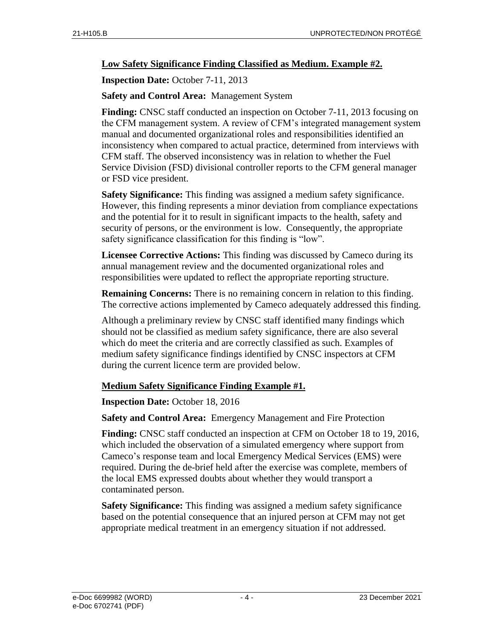#### **Low Safety Significance Finding Classified as Medium. Example #2.**

**Inspection Date:** October 7-11, 2013

#### **Safety and Control Area:** Management System

**Finding:** CNSC staff conducted an inspection on October 7-11, 2013 focusing on the CFM management system. A review of CFM's integrated management system manual and documented organizational roles and responsibilities identified an inconsistency when compared to actual practice, determined from interviews with CFM staff. The observed inconsistency was in relation to whether the Fuel Service Division (FSD) divisional controller reports to the CFM general manager or FSD vice president.

**Safety Significance:** This finding was assigned a medium safety significance. However, this finding represents a minor deviation from compliance expectations and the potential for it to result in significant impacts to the health, safety and security of persons, or the environment is low. Consequently, the appropriate safety significance classification for this finding is "low".

**Licensee Corrective Actions:** This finding was discussed by Cameco during its annual management review and the documented organizational roles and responsibilities were updated to reflect the appropriate reporting structure.

**Remaining Concerns:** There is no remaining concern in relation to this finding. The corrective actions implemented by Cameco adequately addressed this finding.

Although a preliminary review by CNSC staff identified many findings which should not be classified as medium safety significance, there are also several which do meet the criteria and are correctly classified as such. Examples of medium safety significance findings identified by CNSC inspectors at CFM during the current licence term are provided below.

#### **Medium Safety Significance Finding Example #1.**

#### **Inspection Date:** October 18, 2016

**Safety and Control Area:** Emergency Management and Fire Protection

**Finding:** CNSC staff conducted an inspection at CFM on October 18 to 19, 2016, which included the observation of a simulated emergency where support from Cameco's response team and local Emergency Medical Services (EMS) were required. During the de-brief held after the exercise was complete, members of the local EMS expressed doubts about whether they would transport a contaminated person.

**Safety Significance:** This finding was assigned a medium safety significance based on the potential consequence that an injured person at CFM may not get appropriate medical treatment in an emergency situation if not addressed.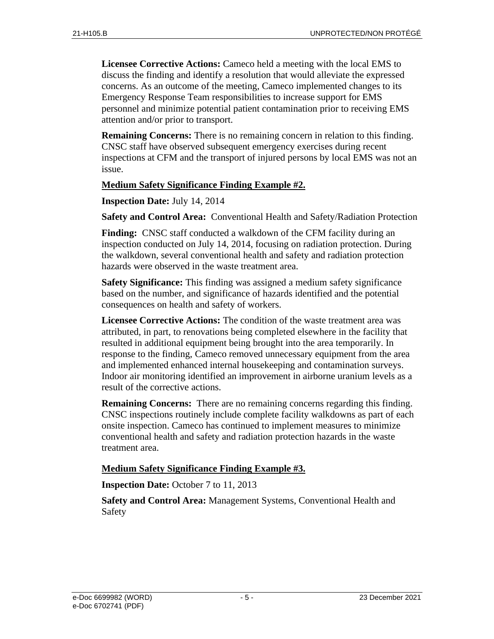**Licensee Corrective Actions:** Cameco held a meeting with the local EMS to discuss the finding and identify a resolution that would alleviate the expressed concerns. As an outcome of the meeting, Cameco implemented changes to its Emergency Response Team responsibilities to increase support for EMS personnel and minimize potential patient contamination prior to receiving EMS attention and/or prior to transport.

**Remaining Concerns:** There is no remaining concern in relation to this finding. CNSC staff have observed subsequent emergency exercises during recent inspections at CFM and the transport of injured persons by local EMS was not an issue.

#### **Medium Safety Significance Finding Example #2.**

**Inspection Date:** July 14, 2014

**Safety and Control Area:** Conventional Health and Safety/Radiation Protection

**Finding:** CNSC staff conducted a walkdown of the CFM facility during an inspection conducted on July 14, 2014, focusing on radiation protection. During the walkdown, several conventional health and safety and radiation protection hazards were observed in the waste treatment area.

**Safety Significance:** This finding was assigned a medium safety significance based on the number, and significance of hazards identified and the potential consequences on health and safety of workers.

**Licensee Corrective Actions:** The condition of the waste treatment area was attributed, in part, to renovations being completed elsewhere in the facility that resulted in additional equipment being brought into the area temporarily. In response to the finding, Cameco removed unnecessary equipment from the area and implemented enhanced internal housekeeping and contamination surveys. Indoor air monitoring identified an improvement in airborne uranium levels as a result of the corrective actions.

**Remaining Concerns:** There are no remaining concerns regarding this finding. CNSC inspections routinely include complete facility walkdowns as part of each onsite inspection. Cameco has continued to implement measures to minimize conventional health and safety and radiation protection hazards in the waste treatment area.

#### **Medium Safety Significance Finding Example #3.**

**Inspection Date:** October 7 to 11, 2013

**Safety and Control Area:** Management Systems, Conventional Health and Safety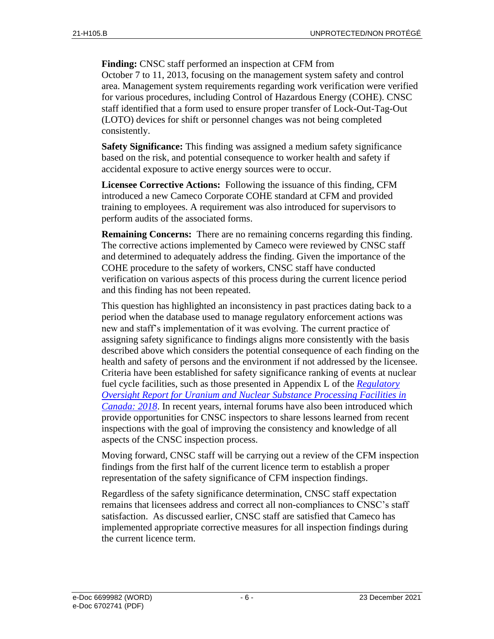**Finding:** CNSC staff performed an inspection at CFM from October 7 to 11, 2013, focusing on the management system safety and control area. Management system requirements regarding work verification were verified for various procedures, including Control of Hazardous Energy (COHE). CNSC staff identified that a form used to ensure proper transfer of Lock-Out-Tag-Out (LOTO) devices for shift or personnel changes was not being completed consistently.

**Safety Significance:** This finding was assigned a medium safety significance based on the risk, and potential consequence to worker health and safety if accidental exposure to active energy sources were to occur.

**Licensee Corrective Actions:** Following the issuance of this finding, CFM introduced a new Cameco Corporate COHE standard at CFM and provided training to employees. A requirement was also introduced for supervisors to perform audits of the associated forms.

**Remaining Concerns:** There are no remaining concerns regarding this finding. The corrective actions implemented by Cameco were reviewed by CNSC staff and determined to adequately address the finding. Given the importance of the COHE procedure to the safety of workers, CNSC staff have conducted verification on various aspects of this process during the current licence period and this finding has not been repeated.

This question has highlighted an inconsistency in past practices dating back to a period when the database used to manage regulatory enforcement actions was new and staff's implementation of it was evolving. The current practice of assigning safety significance to findings aligns more consistently with the basis described above which considers the potential consequence of each finding on the health and safety of persons and the environment if not addressed by the licensee. Criteria have been established for safety significance ranking of events at nuclear fuel cycle facilities, such as those presented in Appendix L of the *[Regulatory](http://www.nuclearsafety.gc.ca/eng/resources/publications/reports/2018-regulatory-oversight-report-for-uranium-and-nuclear-processing-facilities/index.cfm#anxL)  Oversight Report for [Uranium and Nuclear Substance Processing Facilities in](http://www.nuclearsafety.gc.ca/eng/resources/publications/reports/2018-regulatory-oversight-report-for-uranium-and-nuclear-processing-facilities/index.cfm#anxL)  [Canada: 2018](http://www.nuclearsafety.gc.ca/eng/resources/publications/reports/2018-regulatory-oversight-report-for-uranium-and-nuclear-processing-facilities/index.cfm#anxL)*. In recent years, internal forums have also been introduced which provide opportunities for CNSC inspectors to share lessons learned from recent inspections with the goal of improving the consistency and knowledge of all aspects of the CNSC inspection process.

Moving forward, CNSC staff will be carrying out a review of the CFM inspection findings from the first half of the current licence term to establish a proper representation of the safety significance of CFM inspection findings.

Regardless of the safety significance determination, CNSC staff expectation remains that licensees address and correct all non-compliances to CNSC's staff satisfaction. As discussed earlier, CNSC staff are satisfied that Cameco has implemented appropriate corrective measures for all inspection findings during the current licence term.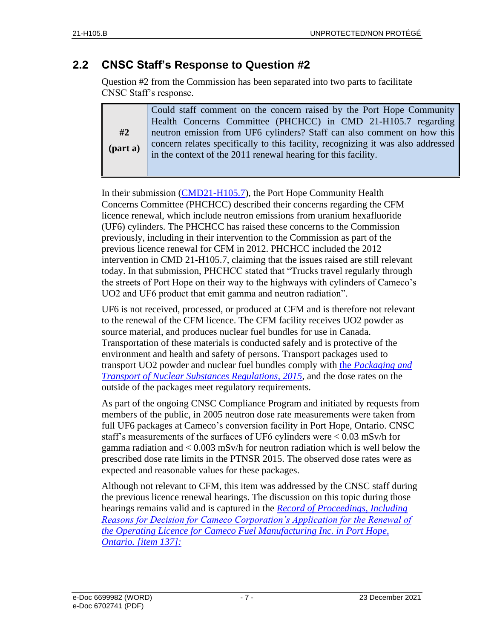### <span id="page-10-0"></span>**2.2 CNSC Staff's Response to Question #2**

Question #2 from the Commission has been separated into two parts to facilitate CNSC Staff's response.

|            | Could staff comment on the concern raised by the Port Hope Community                                                                              |  |
|------------|---------------------------------------------------------------------------------------------------------------------------------------------------|--|
|            | Health Concerns Committee (PHCHCC) in CMD 21-H105.7 regarding                                                                                     |  |
| #2         | neutron emission from UF6 cylinders? Staff can also comment on how this                                                                           |  |
| $(part a)$ | concern relates specifically to this facility, recognizing it was also addressed<br>in the context of the 2011 renewal hearing for this facility. |  |
|            |                                                                                                                                                   |  |

In their submission [\(CMD21-H105.7\)](https://www.nuclearsafety.gc.ca/eng/the-commission/hearings/cmd/pdf/CMD21/CMD21-H105-7.pdf), the Port Hope Community Health Concerns Committee (PHCHCC) described their concerns regarding the CFM licence renewal, which include neutron emissions from uranium hexafluoride (UF6) cylinders. The PHCHCC has raised these concerns to the Commission previously, including in their intervention to the Commission as part of the previous licence renewal for CFM in 2012. PHCHCC included the 2012 intervention in CMD 21-H105.7, claiming that the issues raised are still relevant today. In that submission, PHCHCC stated that "Trucks travel regularly through the streets of Port Hope on their way to the highways with cylinders of Cameco's UO2 and UF6 product that emit gamma and neutron radiation".

UF6 is not received, processed, or produced at CFM and is therefore not relevant to the renewal of the CFM licence. The CFM facility receives UO2 powder as source material, and produces nuclear fuel bundles for use in Canada. Transportation of these materials is conducted safely and is protective of the environment and health and safety of persons. Transport packages used to transport UO2 powder and nuclear fuel bundles comply with the *[Packaging and](https://laws-lois.justice.gc.ca/eng/regulations/sor-2015-145/index.html)  [Transport of Nuclear Substances Regulations, 2015](https://laws-lois.justice.gc.ca/eng/regulations/sor-2015-145/index.html)*, and the dose rates on the outside of the packages meet regulatory requirements.

As part of the ongoing CNSC Compliance Program and initiated by requests from members of the public, in 2005 neutron dose rate measurements were taken from full UF6 packages at Cameco's conversion facility in Port Hope, Ontario. CNSC staff's measurements of the surfaces of UF6 cylinders were < 0.03 mSv/h for gamma radiation and < 0.003 mSv/h for neutron radiation which is well below the prescribed dose rate limits in the PTNSR 2015. The observed dose rates were as expected and reasonable values for these packages.

Although not relevant to CFM, this item was addressed by the CNSC staff during the previous licence renewal hearings. The discussion on this topic during those hearings remains valid and is captured in the *[Record of Proceedings, Including](https://www.cnsc-ccsn.gc.ca/eng/the-commission/pdf/2012-01-18-CompleteDecision-CamecoFuelManufacturing-e-Final-Edocs3916267.pdf)  [Reasons for Decision for Cameco Corporation's Application for the Renewal of](https://www.cnsc-ccsn.gc.ca/eng/the-commission/pdf/2012-01-18-CompleteDecision-CamecoFuelManufacturing-e-Final-Edocs3916267.pdf)  [the Operating Licence for Cameco Fuel Manufacturing Inc. in Port Hope,](https://www.cnsc-ccsn.gc.ca/eng/the-commission/pdf/2012-01-18-CompleteDecision-CamecoFuelManufacturing-e-Final-Edocs3916267.pdf)  [Ontario. \[item 137\]:](https://www.cnsc-ccsn.gc.ca/eng/the-commission/pdf/2012-01-18-CompleteDecision-CamecoFuelManufacturing-e-Final-Edocs3916267.pdf)*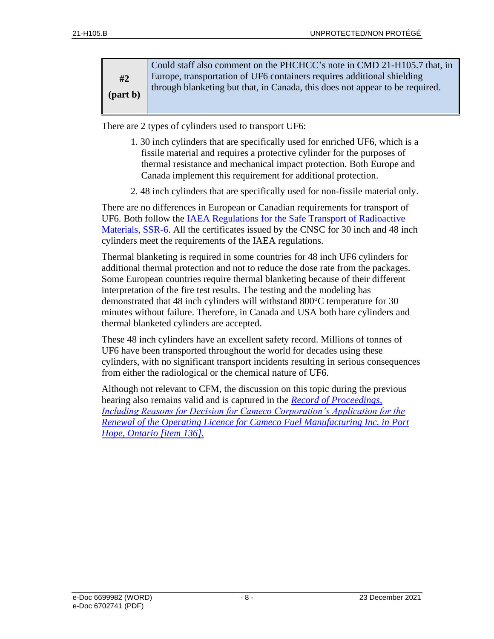| #2                     | Could staff also comment on the PHCHCC's note in CMD 21-H105.7 that, in<br>Europe, transportation of UF6 containers requires additional shielding |
|------------------------|---------------------------------------------------------------------------------------------------------------------------------------------------|
| $\frac{1}{2}$ (part b) | through blanketing but that, in Canada, this does not appear to be required.                                                                      |
|                        |                                                                                                                                                   |

There are 2 types of cylinders used to transport UF6:

- 1. 30 inch cylinders that are specifically used for enriched UF6, which is a fissile material and requires a protective cylinder for the purposes of thermal resistance and mechanical impact protection. Both Europe and Canada implement this requirement for additional protection.
- 2. 48 inch cylinders that are specifically used for non-fissile material only.

There are no differences in European or Canadian requirements for transport of UF6. Both follow the [IAEA Regulations for the Safe Transport of Radioactive](https://www.iaea.org/publications/12288/regulations-for-the-safe-transport-of-radioactive-material)  [Materials, SSR-6.](https://www.iaea.org/publications/12288/regulations-for-the-safe-transport-of-radioactive-material) All the certificates issued by the CNSC for 30 inch and 48 inch cylinders meet the requirements of the IAEA regulations.

Thermal blanketing is required in some countries for 48 inch UF6 cylinders for additional thermal protection and not to reduce the dose rate from the packages. Some European countries require thermal blanketing because of their different interpretation of the fire test results. The testing and the modeling has demonstrated that 48 inch cylinders will withstand 800°C temperature for 30 minutes without failure. Therefore, in Canada and USA both bare cylinders and thermal blanketed cylinders are accepted.

These 48 inch cylinders have an excellent safety record. Millions of tonnes of UF6 have been transported throughout the world for decades using these cylinders, with no significant transport incidents resulting in serious consequences from either the radiological or the chemical nature of UF6.

<span id="page-11-0"></span>Although not relevant to CFM, the discussion on this topic during the previous hearing also remains valid and is captured in the *[Record of Proceedings,](https://www.cnsc-ccsn.gc.ca/eng/the-commission/pdf/2012-01-18-CompleteDecision-CamecoFuelManufacturing-e-Final-Edocs3916267.pdf)  [Including Reasons for Decision for Cameco Corporation's Application for the](https://www.cnsc-ccsn.gc.ca/eng/the-commission/pdf/2012-01-18-CompleteDecision-CamecoFuelManufacturing-e-Final-Edocs3916267.pdf)  [Renewal of the Operating Licence for Cameco Fuel Manufacturing Inc. in Port](https://www.cnsc-ccsn.gc.ca/eng/the-commission/pdf/2012-01-18-CompleteDecision-CamecoFuelManufacturing-e-Final-Edocs3916267.pdf)  [Hope, Ontario \[item 136\].](https://www.cnsc-ccsn.gc.ca/eng/the-commission/pdf/2012-01-18-CompleteDecision-CamecoFuelManufacturing-e-Final-Edocs3916267.pdf)*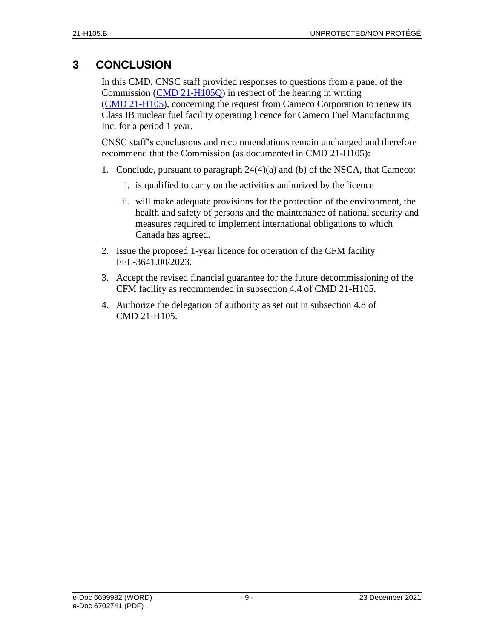## **3 CONCLUSION**

In this CMD, CNSC staff provided responses to questions from a panel of the Commission (CMD [21-H105Q\)](https://www.nuclearsafety.gc.ca/eng/the-commission/hearings/cmd/pdf/CMD21/CMD21-H105Q.pdf) in respect of the hearing in writing [\(CMD 21-H105\)](https://www.nuclearsafety.gc.ca/eng/the-commission/hearings/cmd/pdf/CMD21/CMD21-H105.pdf), concerning the request from Cameco Corporation to renew its Class IB nuclear fuel facility operating licence for Cameco Fuel Manufacturing Inc. for a period 1 year.

CNSC staff's conclusions and recommendations remain unchanged and therefore recommend that the Commission (as documented in CMD 21-H105):

- 1. Conclude, pursuant to paragraph 24(4)(a) and (b) of the NSCA, that Cameco:
	- i. is qualified to carry on the activities authorized by the licence
	- ii. will make adequate provisions for the protection of the environment, the health and safety of persons and the maintenance of national security and measures required to implement international obligations to which Canada has agreed.
- 2. Issue the proposed 1-year licence for operation of the CFM facility FFL-3641.00/2023.
- 3. Accept the revised financial guarantee for the future decommissioning of the CFM facility as recommended in subsection 4.4 of CMD 21-H105.
- 4. Authorize the delegation of authority as set out in subsection 4.8 of CMD 21-H105.